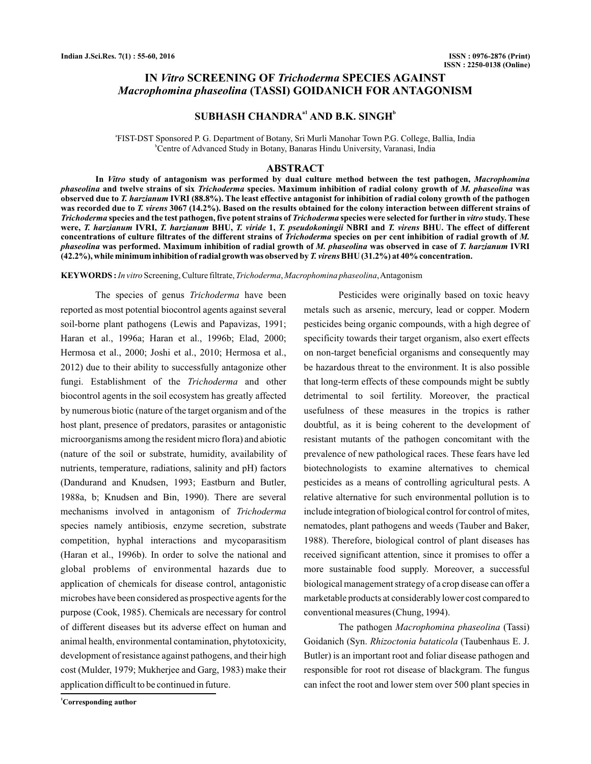## **IN Vitro SCREENING OF Trichoderma SPECIES AGAINST (TASSI) GOIDANICH FOR ANTAGONISM** *Macrophomina phaseolina*

# **SUBHASH CHANDRA<sup>a1</sup> AND B.K. SINGH<sup>b</sup>**

a FIST-DST Sponsored P. G. Department of Botany, Sri Murli Manohar Town P.G. College, Ballia, India b Centre of Advanced Study in Botany, Banaras Hindu University, Varanasi, India

## **ABSTRACT**

**In study of antagonism was performed by dual culture method between the test pathogen,** *Vitro Macrophomina* phaseolina and twelve strains of six *Trichoderma* species. Maximum inhibition of radial colony growth of *M. phaseolina* was observed due to *T. harzianum* IVRI (88.8%). The least effective antagonist for inhibition of radial colony growth of the pathogen was recorded due to *T. virens* 3067 (14.2%). Based on the results obtained for the colony interaction between different strains of *Trichoderma* species and the test pathogen, five potent strains of *Trichoderma* species were selected for further in vitro study. These were, *T. harzianum IVRI, T. harzianum BHU, T. viride 1, T. pseudokoningii NBRI and T. virens BHU. The effect of different* concentrations of culture filtrates of the different strains of Trichoderma species on per cent inhibition of radial growth of M. phaseolina was performed. Maximum inhibition of radial growth of *M. phaseolina* was observed in case of T. harzianum IVRI (42.2%), while minimum inhibition of radial growth was observed by *T. virens* BHU (31.2%) at 40% concentration.

KEYWORDS: *In vitro* Screening, Culture filtrate, *Trichoderma, Macrophomina phaseolina*, Antagonism

The species of genus Trichoderma have been reported as most potential biocontrol agents against several soil-borne plant pathogens (Lewis and Papavizas, 1991; Haran et al., 1996a; Haran et al., 1996b; Elad, 2000; Hermosa et al., 2000; Joshi et al., 2010; Hermosa et al., 2012) due to their ability to successfully antagonize other fungi. Establishment of the Trichoderma and other biocontrol agents in the soil ecosystem has greatly affected by numerous biotic (nature of the target organism and of the host plant, presence of predators, parasites or antagonistic microorganisms among the resident micro flora) and abiotic (nature of the soil or substrate, humidity, availability of nutrients, temperature, radiations, salinity and pH) factors (Dandurand and Knudsen, 1993; Eastburn and Butler, 1988a, b; Knudsen and Bin, 1990). There are several mechanisms involved in antagonism of *Trichoderma*species namely antibiosis, enzyme secretion, substrate competition, hyphal interactions and mycoparasitism (Haran et al., 1996b). In order to solve the national and global problems of environmental hazards due to application of chemicals for disease control, antagonistic microbes have been considered as prospective agents for the purpose (Cook, 1985). Chemicals are necessary for control of different diseases but its adverse effect on human and animal health, environmental contamination, phytotoxicity, development of resistance against pathogens, and their high cost (Mulder, 1979; Mukherjee and Garg, 1983) make their application difficult to be continued in future.

Pesticides were originally based on toxic heavy metals such as arsenic, mercury, lead or copper. Modern pesticides being organic compounds, with a high degree of specificity towards their target organism, also exert effects on non-target beneficial organisms and consequently may be hazardous threat to the environment. It is also possible that long-term effects of these compounds might be subtly detrimental to soil fertility. Moreover, the practical usefulness of these measures in the tropics is rather doubtful, as it is being coherent to the development of resistant mutants of the pathogen concomitant with the prevalence of new pathological races. These fears have led biotechnologists to examine alternatives to chemical pesticides as a means of controlling agricultural pests. A relative alternative for such environmental pollution is to include integration of biological control for control of mites, nematodes, plant pathogens and weeds (Tauber and Baker, 1988). Therefore, biological control of plant diseases has received significant attention, since it promises to offer a more sustainable food supply. Moreover, a successful biological management strategy of a crop disease can offer a marketable products at considerably lower cost compared to conventional measures (Chung, 1994).

The pathogen Macrophomina phaseolina (Tassi) Goidanich (Syn. Rhizoctonia bataticola (Taubenhaus E. J. Butler) is an important root and foliar disease pathogen and responsible for root rot disease of blackgram. The fungus can infect the root and lower stem over 500 plant species in

**<sup>1</sup>Corresponding author**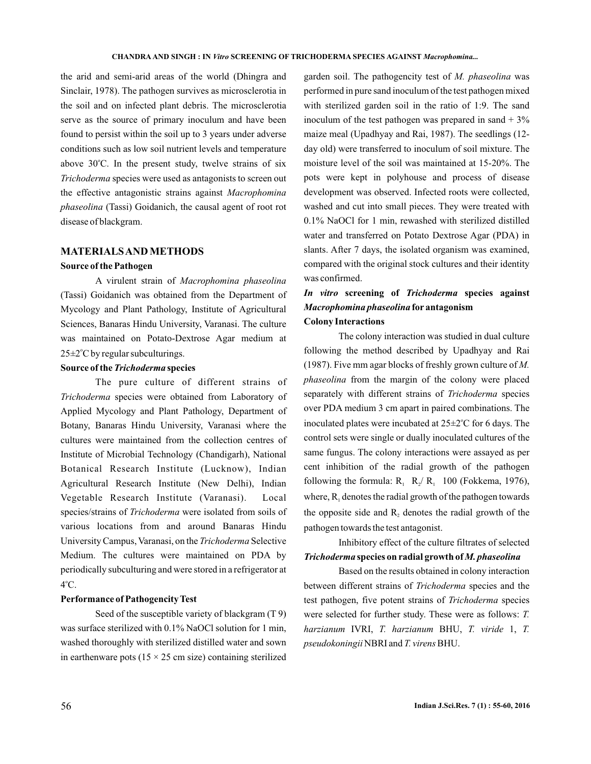the arid and semi-arid areas of the world (Dhingra and Sinclair, 1978). The pathogen survives as microsclerotia in the soil and on infected plant debris. The microsclerotia serve as the source of primary inoculum and have been found to persist within the soil up to 3 years under adverse conditions such as low soil nutrient levels and temperature above  $30^{\circ}$ C. In the present study, twelve strains of six **Trichoderma** species were used as antagonists to screen out the effective antagonistic strains against *Macrophomina* (Tassi) Goidanich, the causal agent of root rot *phaseolina* disease of blackgram.

## **MATERIALSANDMETHODS**

## **Source of the Pathogen**

A virulent strain of *Macrophomina phaseolina* (Tassi) Goidanich was obtained from the Department of Mycology and Plant Pathology, Institute of Agricultural Sciences, Banaras Hindu University, Varanasi. The culture was maintained on Potato-Dextrose Agar medium at 25±2°C by regular subculturings.

#### Source of the Trichoderma species

The pure culture of different strains of **Trichoderma** species were obtained from Laboratory of Applied Mycology and Plant Pathology, Department of Botany, Banaras Hindu University, Varanasi where the cultures were maintained from the collection centres of Institute of Microbial Technology (Chandigarh), National Botanical Research Institute (Lucknow), Indian Agricultural Research Institute (New Delhi), Indian Vegetable Research Institute (Varanasi). Local species/strains of *Trichoderma* were isolated from soils of various locations from and around Banaras Hindu University Campus, Varanasi, on the *Trichoderma* Selective Medium. The cultures were maintained on PDA by periodically subculturing and were stored in a refrigerator at  $4^{\circ}$ C.

## **Performance of PathogencityTest**

Seed of the susceptible variety of blackgram (T 9) was surface sterilized with 0.1% NaOCl solution for 1 min, washed thoroughly with sterilized distilled water and sown in earthenware pots ( $15 \times 25$  cm size) containing sterilized

garden soil. The pathogencity test of M. phaseolina was performed in pure sand inoculum of the test pathogen mixed with sterilized garden soil in the ratio of 1:9. The sand inoculum of the test pathogen was prepared in sand  $+3\%$ maize meal (Upadhyay and Rai, 1987). The seedlings (12 day old) were transferred to inoculum of soil mixture. The moisture level of the soil was maintained at 15-20%. The pots were kept in polyhouse and process of disease development was observed. Infected roots were collected, washed and cut into small pieces. They were treated with 0.1% NaOCl for 1 min, rewashed with sterilized distilled water and transferred on Potato Dextrose Agar (PDA) in slants. After 7 days, the isolated organism was examined, compared with the original stock cultures and their identity was confirmed.

## In vitro screening of Trichoderma species against *Macrophomina phaseolina* **for antagonism Colony Interactions**

The colony interaction was studied in dual culture following the method described by Upadhyay and Rai (1987). Five mm agar blocks of freshly grown culture of *M.* phaseolina from the margin of the colony were placed separately with different strains of Trichoderma species over PDA medium 3 cm apart in paired combinations. The inoculated plates were incubated at 25 $\pm$ 2°C for 6 days. The control sets were single or dually inoculated cultures of the same fungus. The colony interactions were assayed as per cent inhibition of the radial growth of the pathogen following the formula:  $R_1$   $R_2/R_1$  100 (Fokkema, 1976), where,  $R_1$  denotes the radial growth of the pathogen towards the opposite side and  $R_2$  denotes the radial growth of the pathogen towards the test antagonist.

# Inhibitory effect of the culture filtrates of selected **Trichoderma species on radial growth of M. phaseolina**

Based on the results obtained in colony interaction between different strains of *Trichoderma* species and the test pathogen, five potent strains of *Trichoderma* species were selected for further study. These were as follows: *T.* harzianum IVRI, T. harzianum BHU, T. viride 1, T. pseudokoningii NBRI and *T. virens* BHU.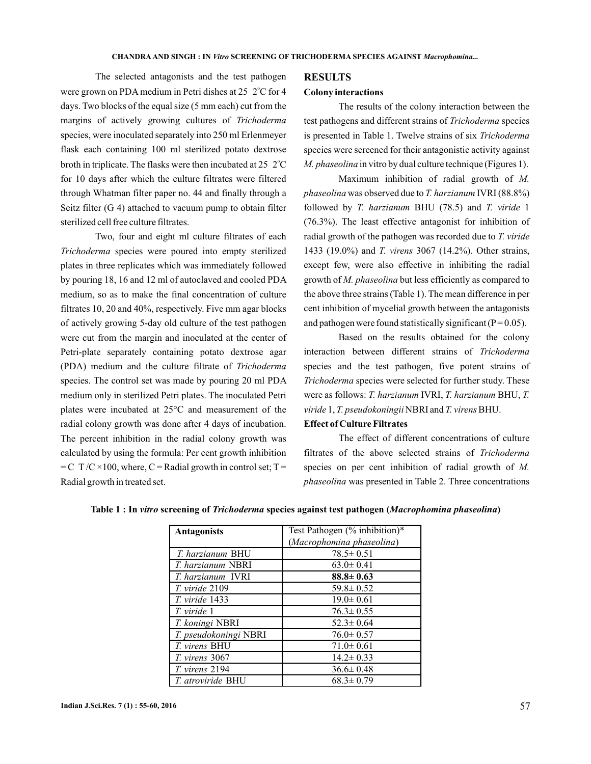The selected antagonists and the test pathogen were grown on PDA medium in Petri dishes at 25 2°C for 4 days. Two blocks of the equal size (5 mm each) cut from the margins of actively growing cultures of *Trichoderma* species, were inoculated separately into 250 ml Erlenmeyer flask each containing 100 ml sterilized potato dextrose broth in triplicate. The flasks were then incubated at 25  $2^{\circ}$ C for 10 days after which the culture filtrates were filtered through Whatman filter paper no. 44 and finally through a Seitz filter (G 4) attached to vacuum pump to obtain filter sterilized cell free culture filtrates.

Two, four and eight ml culture filtrates of each **Trichoderma** species were poured into empty sterilized plates in three replicates which was immediately followed by pouring 18, 16 and 12 ml of autoclaved and cooled PDA medium, so as to make the final concentration of culture filtrates 10, 20 and 40%, respectively. Five mm agar blocks of actively growing 5-day old culture of the test pathogen were cut from the margin and inoculated at the center of Petri-plate separately containing potato dextrose agar (PDA) medium and the culture filtrate of *Trichoderma* species. The control set was made by pouring 20 ml PDA medium only in sterilized Petri plates. The inoculated Petri plates were incubated at 25°C and measurement of the radial colony growth was done after 4 days of incubation. The percent inhibition in the radial colony growth was calculated by using the formula: Per cent growth inhibition  $= C T/C \times 100$ , where,  $C =$ Radial growth in control set; T = Radial growth in treated set.

#### **RESULTS**

#### **Colony interactions**

The results of the colony interaction between the test pathogens and different strains of Trichoderma species is presented in Table 1. Twelve strains of six *Trichoderma* species were screened for their antagonistic activity against *M. phaseolina* in vitro by dual culture technique (Figures 1).

Maximum inhibition of radial growth of *M.* phaseolina was observed due to *T. harzianum* IVRI (88.8%) followed by *T. harzianum BHU* (78.5) and *T. viride* 1 (76.3%). The least effective antagonist for inhibition of radial growth of the pathogen was recorded due to *T. viride* 1433 (19.0%) and *T. virens* 3067 (14.2%). Other strains, except few, were also effective in inhibiting the radial growth of M. phaseolina but less efficiently as compared to the above three strains (Table 1). The mean difference in per cent inhibition of mycelial growth between the antagonists and pathogen were found statistically significant ( $P = 0.05$ ).

Based on the results obtained for the colony interaction between different strains of *Trichoderma* species and the test pathogen, five potent strains of **Trichoderma** species were selected for further study. These were as follows: T. harzianum IVRI, T. harzianum BHU, T. viride 1, T. pseudokoningii NBRI and T. virens BHU.

## **Effect of Culture Filtrates**

The effect of different concentrations of culture filtrates of the above selected strains of *Trichoderma* species on per cent inhibition of radial growth of *M.* phaseolina was presented in Table 2. Three concentrations

| <b>Antagonists</b>       | Test Pathogen (% inhibition)* |  |
|--------------------------|-------------------------------|--|
|                          | (Macrophomina phaseolina)     |  |
| <i>T. harzianum BHU</i>  | $78.5 \pm 0.51$               |  |
| <i>T. harzianum NBRI</i> | $63.0 \pm 0.41$               |  |
| T. harzianum IVRI        | $88.8 \pm 0.63$               |  |
| T. viride 2109           | $59.8 \pm 0.52$               |  |
| <i>T. viride</i> 1433    | $19.0 \pm 0.61$               |  |
| T. viride 1              | $76.3 \pm 0.55$               |  |
| T. koningi NBRI          | $52.3 \pm 0.64$               |  |
| T. pseudokoningi NBRI    | $76.0 \pm 0.57$               |  |
| T. virens BHU            | $71.0 \pm 0.61$               |  |
| T. virens 3067           | $14.2 \pm 0.33$               |  |
| T. virens 2194           | $36.6 \pm 0.48$               |  |
| <i>T. atroviride</i> BHU | $68.3 \pm 0.79$               |  |

### Table 1 : In vitro screening of Trichoderma species against test pathogen (Macrophomina phaseolina)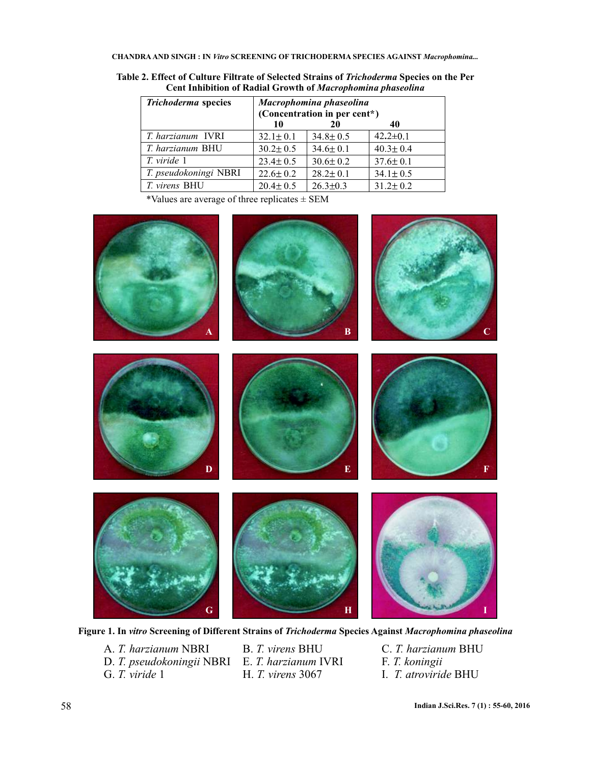**CHANDRA AND SINGH : IN SCREENING OF TRICHODERMA SPECIES AGAINST** *Vitro Macrophomina...*

| <b>Trichoderma</b> species | Macrophomina phaseolina<br>(Concentration in per cent*) |                |                |
|----------------------------|---------------------------------------------------------|----------------|----------------|
|                            | 10                                                      | 20             | 40             |
| <i>T. harzianum</i> IVRI   | $32.1 \pm 0.1$                                          | $34.8 \pm 0.5$ | $42.2 \pm 0.1$ |
| <i>T. harzianum BHU</i>    | $30.2 \pm 0.5$                                          | $34.6 \pm 0.1$ | $40.3 \pm 0.4$ |
| T. viride 1                | $23.4 \pm 0.5$                                          | $30.6 \pm 0.2$ | $37.6 \pm 0.1$ |
| T. pseudokoningi NBRI      | $22.6 \pm 0.2$                                          | $28.2 \pm 0.1$ | $34.1 \pm 0.5$ |
| T. virens BHU              | $20.4 \pm 0.5$                                          | $26.3 \pm 0.3$ | $31.2 \pm 0.2$ |
|                            |                                                         |                |                |

Table 2. Effect of Culture Filtrate of Selected Strains of *Trichoderma* Species on the Per **Cent Inhibition of Radial Growth of** *Macrophomina phaseolina*

\*Values are average of three replicates ± SEM



Figure 1. In vitro Screening of Different Strains of Trichoderma Species Against *Macrophomina phaseolina* 

D. T. pseudokoningii NBRI E. T. harzianum IVRI F. T. koningii G. T. viride 1 H. T. virens 3067 I. T. atroviride BHU A. T. harzianum NBRI

**H.** *T. virens* 3067

B. T. virens BHU<br>
E. T. harzianum IVRI<br>
F. T. koningii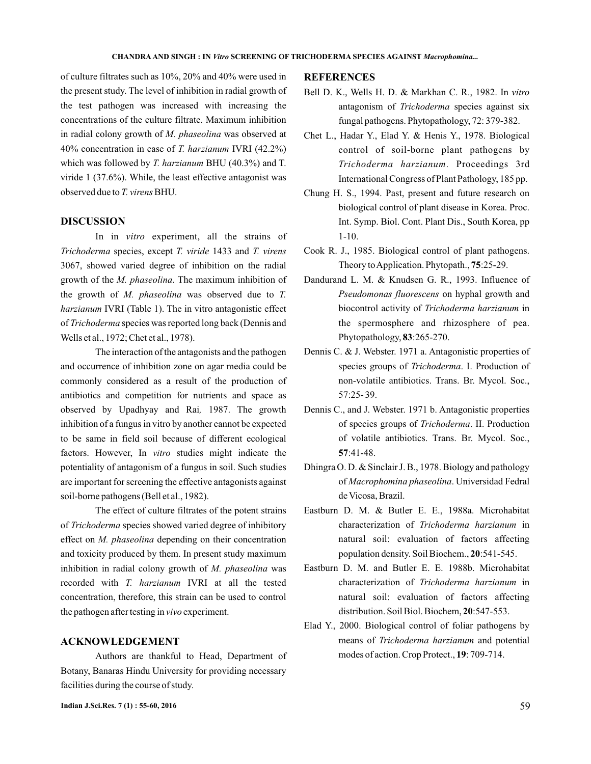of culture filtrates such as 10%, 20% and 40% were used in the present study. The level of inhibition in radial growth of the test pathogen was increased with increasing the concentrations of the culture filtrate. Maximum inhibition in radial colony growth of M. phaseolina was observed at 40% concentration in case of *T. harzianum* IVRI (42.2%) which was followed by T. harzianum BHU (40.3%) and T. viride 1 (37.6%). While, the least effective antagonist was observed due to *T. virens* BHU.

## **DISCUSSION**

In in vitro experiment, all the strains of Trichoderma species, except T. viride 1433 and T. virens 3067, showed varied degree of inhibition on the radial growth of the *M. phaseolina*. The maximum inhibition of the growth of *M. phaseolina* was observed due to *T.* harzianum IVRI (Table 1). The in vitro antagonistic effect of Trichoderma species was reported long back (Dennis and Wells et al., 1972; Chet et al., 1978).

The interaction of the antagonists and the pathogen and occurrence of inhibition zone on agar media could be commonly considered as a result of the production of antibiotics and competition for nutrients and space as observed by Upadhyay and Rai, 1987. The growth inhibition of a fungus in vitro by another cannot be expected to be same in field soil because of different ecological factors. However, In vitro studies might indicate the potentiality of antagonism of a fungus in soil. Such studies are important for screening the effective antagonists against soil-borne pathogens (Bell et al., 1982).

The effect of culture filtrates of the potent strains of Trichoderma species showed varied degree of inhibitory effect on M. phaseolina depending on their concentration and toxicity produced by them. In present study maximum inhibition in radial colony growth of M. phaseolina was recorded with T. harzianum IVRI at all the tested concentration, therefore, this strain can be used to control the pathogen after testing in vivo experiment.

## **ACKNOWLEDGEMENT**

Authors are thankful to Head, Department of Botany, Banaras Hindu University for providing necessary facilities during the course of study.

### **REFERENCES**

- Bell D. K., Wells H. D. & Markhan C. R., 1982. In *vitro* antagonism of Trichoderma species against six fungal pathogens. Phytopathology, 72: 379-382.
- Chet L., Hadar Y., Elad Y. & Henis Y., 1978. Biological control of soil-borne plant pathogens by Trichoderma harzianum. Proceedings 3rd International Congress of Plant Pathology, 185 pp.
- Chung H. S., 1994. Past, present and future research on biological control of plant disease in Korea. Proc. Int. Symp. Biol. Cont. Plant Dis., South Korea, pp 1-10.
- Cook R. J., 1985. Biological control of plant pathogens. Theory to Application. Phytopath., 75:25-29.
- Dandurand L. M. & Knudsen G. R., 1993. Influence of Pseudomonas fluorescens on hyphal growth and biocontrol activity of Trichoderma harzianum in the spermosphere and rhizosphere of pea. Phytopathology, 83:265-270.
- Dennis C. & J. Webster. 1971 a. Antagonistic properties of species groups of Trichoderma. I. Production of non-volatile antibiotics. Trans. Br. Mycol. Soc., 57:25- 39.
- Dennis C., and J. Webster. 1971 b. Antagonistic properties of species groups of Trichoderma. II. Production of volatile antibiotics. Trans. Br. Mycol. Soc., :41-48. **57**
- Dhingra O. D. & Sinclair J. B., 1978. Biology and pathology of Macrophomina phaseolina. Universidad Fedral de Vicosa, Brazil.
- Eastburn D. M. & Butler E. E., 1988a. Microhabitat characterization of Trichoderma harzianum in natural soil: evaluation of factors affecting population density. Soil Biochem., 20:541-545.
- Eastburn D. M. and Butler E. E. 1988b. Microhabitat characterization of Trichoderma harzianum in natural soil: evaluation of factors affecting distribution. Soil Biol. Biochem, 20:547-553.
- Elad Y., 2000. Biological control of foliar pathogens by means of Trichoderma harzianum and potential modes of action. Crop Protect., 19: 709-714.